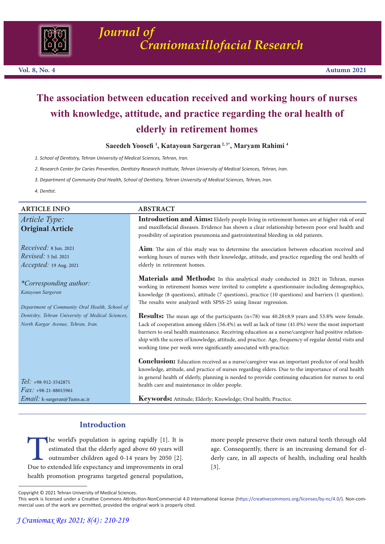

# **The association between education received and working hours of nurses with knowledge, attitude, and practice regarding the oral health of elderly in retirement homes**

**Saeedeh Yoosefi <sup>1</sup> , Katayoun Sargeran 2, 3\*, Maryam Rahimi 4** 

*1. School of Dentistry, Tehran University of Medical Sciences, Tehran, Iran.*

*2. Research Center for Caries Prevention, Dentistry Research Institute, Tehran University of Medical Sciences, Tehran, Iran.*

*3. Department of Community Oral Health, School of Dentistry, Tehran University of Medical Sciences, Tehran, Iran.*

*4. Dentist.*

| <b>ARTICLE INFO</b>                                                                                  | <b>ABSTRACT</b>                                                                                                                                                                                                                                                                                                                                                                                                                                                                                      |
|------------------------------------------------------------------------------------------------------|------------------------------------------------------------------------------------------------------------------------------------------------------------------------------------------------------------------------------------------------------------------------------------------------------------------------------------------------------------------------------------------------------------------------------------------------------------------------------------------------------|
| Article Type:<br><b>Original Article</b>                                                             | <b>Introduction and Aims:</b> Elderly people living in retirement homes are at higher risk of oral<br>and maxillofacial diseases. Evidence has shown a clear relationship between poor oral health and<br>possibility of aspiration pneumonia and gastrointestinal bleeding in old patients.                                                                                                                                                                                                         |
| $Received: 8$ Jun. 2021<br><i>Revised:</i> 5 Jul. 2021<br>Accepted: 19 Aug. 2021                     | Aim: The aim of this study was to determine the association between education received and<br>working hours of nurses with their knowledge, attitude, and practice regarding the oral health of<br>elderly in retirement homes.                                                                                                                                                                                                                                                                      |
| <i>*Corresponding author:</i><br>Katayoun Sargeran<br>Department of Community Oral Health, School of | Materials and Methods: In this analytical study conducted in 2021 in Tehran, nurses<br>working in retirement homes were invited to complete a questionnaire including demographics,<br>knowledge (8 questions), attitude (7 questions), practice (10 questions) and barriers (1 question).<br>The results were analyzed with SPSS-25 using linear regression.                                                                                                                                        |
| Dentistry, Tehran University of Medical Sciences,<br>North Kargar Avenue, Tehran, Iran.              | <b>Results:</b> The mean age of the participants $(n=78)$ was $40.28\pm8.9$ years and 53.8% were female.<br>Lack of cooperation among elders (56.4%) as well as lack of time (41.0%) were the most important<br>barriers to oral health maintenance. Receiving education as a nurse/caregiver had positive relation-<br>ship with the scores of knowledge, attitude, and practice. Age, frequency of regular dental visits and<br>working time per week were significantly associated with practice. |
| $Tel: +98-912-3542871$<br>$Fax: +98-21-88015961$                                                     | <b>Conclusion:</b> Education received as a nurse/caregiver was an important predictor of oral health<br>knowledge, attitude, and practice of nurses regarding elders. Due to the importance of oral health<br>in general health of elderly, planning is needed to provide continuing education for nurses to oral<br>health care and maintenance in older people.                                                                                                                                    |
| <i>Email:</i> k-sargeran@Tums.ac.ir                                                                  | Keywords: Attitude; Elderly; Knowledge; Oral health; Practice.                                                                                                                                                                                                                                                                                                                                                                                                                                       |

# **Introduction**

The world's population is ageing rapidly [1]. It is<br>estimated that the elderly aged above 60 years will<br>outnumber children aged 0-14 years by 2050 [2].<br>Due to extended life expectancy and improvements in oral<br>health promot estimated that the elderly aged above 60 years will outnumber children aged 0-14 years by 2050 [2]. Due to extended life expectancy and improvements in oral health promotion programs targeted general population,

more people preserve their own natural teeth through old age. Consequently, there is an increasing demand for elderly care, in all aspects of health, including oral health [3].

Copyright © 2021 Tehran University of Medical Sciences.

This work is licensed under a Creative Commons Attribution-NonCommercial 4.0 International license (https://creativecommons.org/licenses/by-nc/4.0/). Non-commercial uses of the work are permitted, provided the original work is properly cited.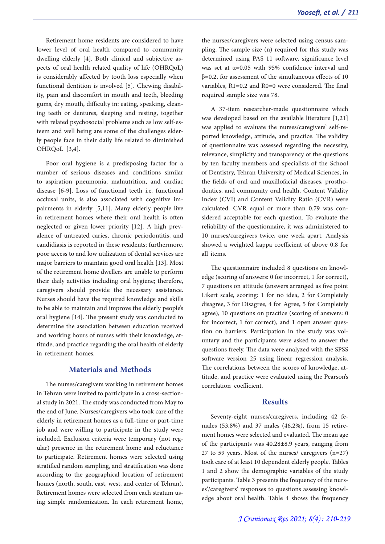Retirement home residents are considered to have lower level of oral health compared to community dwelling elderly [4]. Both clinical and subjective as- pects of oral health related quality of life (OHRQoL) is considerably affected by tooth loss especially when functional dentition is involved [5]. Chewing disability, pain and discomfort in mouth and teeth, bleeding gums, dry mouth, difficulty in: eating, speaking, cleaning teeth or dentures, sleeping and resting, together with related psychosocial problems such as low self-es- teem and well being are some of the challenges elder- ly people face in their daily life related to diminished OHRQoL [3,4].

Poor oral hygiene is a predisposing factor for a number of serious diseases and conditions similar to aspiration pneumonia, malnutrition, and cardiac disease [6-9]. Loss of functional teeth i.e. functional occlusal units, is also associated with cognitive impairments in elderly [5,11]. Many elderly people live in retirement homes where their oral health is often neglected or given lower priority [12]. A high prevalence of untreated caries, chronic periodontitis, and candidiasis is reported in these residents; furthermore, poor access to and low utilization of dental services are major barriers to maintain good oral health [13]. Most of the retirement home dwellers are unable to perform their daily activities including oral hygiene; therefore, caregivers should provide the necessary assistance. Nurses should have the required knowledge and skills to be able to maintain and improve the elderly people's oral hygiene [14]. The present study was conducted to determine the association between education received and working hours of nurses with their knowledge, attitude, and practice regarding the oral health of elderly in retirement homes.

## **Materials and Methods**

The nurses/caregivers working in retirement homes in Tehran were invited to participate in a cross-sectional study in 2021. The study was conducted from May to the end of June. Nurses/caregivers who took care of the elderly in retirement homes as a full-time or part-time job and were willing to participate in the study were included. Exclusion criteria were temporary (not reg-<br>ular) presence in the retirement home and reluctance to participate. Retirement homes were selected using stratified random sampling, and stratification was done according to the geographical location of retirement homes (north, south, east, west, and center of Tehran).<br>Retirement homes were selected from each stratum using simple randomization. In each retirement home,

the nurses/caregivers were selected using census sam- pling. The sample size (n) required for this study was determined using PAS 11 software, significance level was set at  $\alpha$ =0.05 with 95% confidence interval and β=0.2, for assessment of the simultaneous effects of 10 variables, R1=0.2 and R0=0 were considered. The final required sample size was 78.

A 37-item researcher-made questionnaire which was developed based on the available literature [1,21] was applied to evaluate the nurses/caregivers' self-reported knowledge, attitude, and practice. The validity of questionnaire was assessed regarding the necessity, relevance, simplicity and transparency of the questions by ten faculty members and specialists of the School of Dentistry, Tehran University of Medical Sciences, in the fields of oral and maxillofacial diseases, prosthodontics, and community oral health. Content Validity Index (CVI) and Content Validity Ratio (CVR) were calculated. CVR equal or more than 0.79 was con- sidered acceptable for each question. To evaluate the reliability of the questionnaire, it was administered to 10 nurses/caregivers twice, one week apart. Analysis showed a weighted kappa coefficient of above 0.8 for all items.

The questionnaire included 8 questions on knowledge (scoring of answers: 0 for incorrect, 1 for correct), 7 questions on attitude (answers arranged as five point Likert scale, scoring: 1 for no idea, 2 for Completely disagree, 3 for Disagree, 4 for Agree, 5 for Completely agree), 10 questions on practice (scoring of answers: 0 for incorrect, 1 for correct), and 1 open answer question on barriers. Participation in the study was voluntary and the participants were asked to answer the questions freely. The data were analyzed with the SPSS software version 25 using linear regression analysis. The correlations between the scores of knowledge, at- titude, and practice were evaluated using the Pearson's correlation coefficient.

## **Results**

Seventy-eight nurses/caregivers, including 42 fe-<br>males (53.8%) and 37 males (46.2%), from 15 retire-<br>ment homes were selected and evaluated. The mean age of the participants was 40.28±8.9 years, ranging from 27 to 59 years. Most of the nurses/ caregivers (n=27) took care of at least 10 dependent elderly people. Tables 1 and 2 show the demographic variables of the study participants. Table 3 presents the frequency of the nurses'/caregivers' responses to questions assessing knowledge about oral health. Table 4 shows the frequency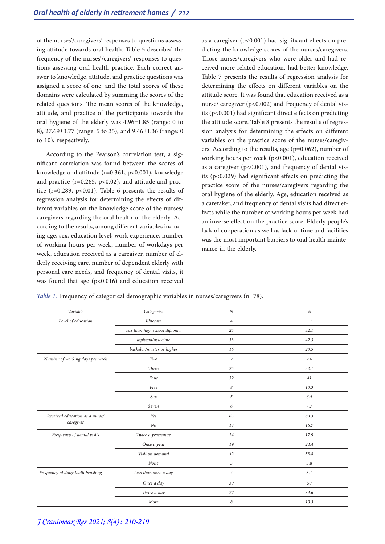of the nurses'/caregivers' responses to questions assess- ing attitude towards oral health. Table 5 described the tions assessing oral health practice. Each correct an-<br>swer to knowledge, attitude, and practice questions was assigned a score of one, and the total scores of these domains were calculated by summing the scores of the related questions. The mean scores of the knowledge, attitude, and practice of the participants towards the oral hygiene of the elderly was 4.96±1.85 (range: 0 to 8), 27.69±3.77 (range: 5 to 35), and 9.46±1.36 (range: 0 to 10), respectively.

According to the Pearson's correlation test, a significant correlation was found between the scores of knowledge and attitude (r=0.361, p<0.001), knowledge and practice ( $r=0.265$ ,  $p<0.02$ ), and attitude and practice ( $r=0.289$ ,  $p<0.01$ ). Table 6 presents the results of regression analysis for determining the effects of different variables on the knowledge score of the nurses/ caregivers regarding the oral health of the elderly. According to the results, among different variables including age, sex, education level, work experience, number of working hours per week, number of workdays per week, education received as a caregiver, number of elderly receiving care, number of dependent elderly with personal care needs, and frequency of dental visits, it was found that age  $(p<0.016)$  and education received

as a caregiver ( $p<0.001$ ) had significant effects on pre-<br>dicting the knowledge scores of the nurses/caregivers.<br>Those nurses/caregivers who were older and had received more related education, had better knowledge. Table 7 presents the results of regression analysis for determining the effects on different variables on the attitude score. It was found that education received as a nurse/ caregiver  $(p<0.002)$  and frequency of dental visits ( $p$ <0.001) had significant direct effects on predicting the attitude score. Table 8 presents the results of regression analysis for determining the effects on different variables on the practice score of the nurses/caregivers. According to the results, age (p=0.062), number of working hours per week ( $p<0.001$ ), education received<br>as a caregiver ( $p<0.001$ ), and frequency of dental visits (p<0.029) had significant effects on predicting the practice score of the nurses/caregivers regarding the oral hygiene of the elderly. Age, education received as a caretaker, and frequency of dental visits had direct ef- fects while the number of working hours per week had an inverse effect on the practice score. Elderly people's lack of cooperation as well as lack of time and facilities was the most important barriers to oral health maintenance in the elderly.

| Table 1. Frequency of categorical demographic variables in nurses/caregivers (n=78). |  |
|--------------------------------------------------------------------------------------|--|
|--------------------------------------------------------------------------------------|--|

| Variable                          | Categories                    | $\cal N$         | $\%$ |
|-----------------------------------|-------------------------------|------------------|------|
| Level of education                | <b>Illiterate</b>             | $\boldsymbol{4}$ | 5.1  |
|                                   | less than high school diploma | 25               | 32.1 |
|                                   | diploma/associate             | 33               | 42.3 |
|                                   | bachelor/master or higher     | 16               | 20.5 |
| Number of working days per week   | Two                           | 2                | 2.6  |
|                                   | <b>Three</b>                  | 25               | 32.1 |
|                                   | Four                          | 32               | 41   |
|                                   | Five                          | 8                | 10.3 |
|                                   | Sex                           | 5                | 6.4  |
|                                   | Seven                         | 6                | 7.7  |
| Received education as a nurse/    | Yes                           | 65               | 83.3 |
| caregiver                         | N <sub>o</sub>                | 13               | 16.7 |
| Frequency of dental visits        | Twice a year/more             | 14               | 17.9 |
|                                   | Once a year                   | 19               | 24.4 |
|                                   | Visit on demand               | 42               | 53.8 |
|                                   | None                          | $\mathfrak{Z}$   | 3.8  |
| Frequency of daily tooth brushing | Less than once a day          | $\overline{4}$   | 5.1  |
|                                   | Once a day                    | 39               | 50   |
|                                   | Twice a day                   | 27               | 34.6 |
|                                   | More                          | 8                | 10.3 |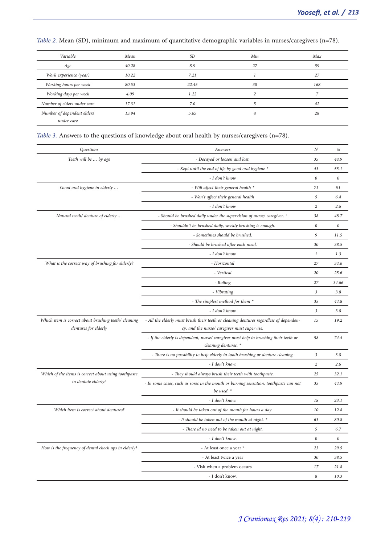| Variable                    | Mean  | <b>SD</b> | Min | Max |
|-----------------------------|-------|-----------|-----|-----|
| Age                         | 40.28 | 8.9       | 27  | 59  |
| Work experience (year)      | 10.22 | 7.21      |     | 27  |
| Working hours per week      | 80.53 | 22.45     | 30  | 168 |
| Working days per week       | 4.09  | 1.22      |     |     |
| Number of elders under care | 17.31 | 7.0       |     | 42  |
| Number of dependent elders  | 13.94 | 5.65      |     | 28  |
| under care                  |       |           |     |     |

*Table 2.* Mean (SD), minimum and maximum of quantitative demographic variables in nurses/caregivers (n=78).

*Table 3.* Answers to the questions of knowledge about oral health by nurses/caregivers (n=78).

| Questions                                                                    | Answers                                                                                                                               | N                | $\%$                  |
|------------------------------------------------------------------------------|---------------------------------------------------------------------------------------------------------------------------------------|------------------|-----------------------|
| Teeth will be  by age                                                        | - Decayed or loosen and lost.                                                                                                         |                  | 44.9                  |
|                                                                              | - Kept until the end of life by good oral hygiene *                                                                                   | 43               | 55.1                  |
|                                                                              | - I don't know                                                                                                                        | 0                | $\boldsymbol{\theta}$ |
| Good oral hygiene in elderly                                                 | - Will affect their general health *                                                                                                  | 71               | 91                    |
|                                                                              | - Won't affect their general health                                                                                                   | 5                | 6.4                   |
|                                                                              | - I don't know                                                                                                                        | $\overline{c}$   | 2.6                   |
| Natural teeth/ denture of elderly                                            | - Should be brushed daily under the supervision of nurse/ caregiver. *                                                                | 38               | 48.7                  |
|                                                                              | - Shouldn't be brushed daily, weekly brushing is enough.                                                                              | 0                | $\boldsymbol{0}$      |
|                                                                              | - Sometimes should be brushed.                                                                                                        | 9                | 11.5                  |
|                                                                              | - Should be brushed after each meal.                                                                                                  | 30               | 38.5                  |
|                                                                              | - I don't know                                                                                                                        | $\boldsymbol{l}$ | 1.3                   |
| What is the correct way of brushing for elderly?                             | - Horizontal                                                                                                                          | 27               | 34.6                  |
|                                                                              | - Vertical                                                                                                                            | 20               | 25.6                  |
|                                                                              | - Rolling                                                                                                                             | 27               | 34.66                 |
|                                                                              | - Vibrating                                                                                                                           | 3                | 3.8                   |
|                                                                              | - The simplest method for them *                                                                                                      | 35               | 44.8                  |
|                                                                              | - I don't know                                                                                                                        | $\mathfrak{Z}$   | 3.8                   |
| Which item is correct about brushing teeth/ cleaning<br>dentures for elderly | - All the elderly must brush their teeth or cleaning dentures regardless of dependen-<br>cy, and the nurse/ caregiver must supervise. | 15               | 19.2                  |
|                                                                              | - If the elderly is dependent, nurse/ caregiver must help in brushing their teeth or<br>cleaning dentures. *                          | 58               | 74.4                  |
|                                                                              | - There is no possibility to help elderly in tooth brushing or denture cleaning.                                                      | $\mathfrak z$    | 3.8                   |
|                                                                              | - I don't know.                                                                                                                       | $\overline{c}$   | 2.6                   |
| Which of the items is correct about using toothpaste                         | - They should always brush their teeth with toothpaste.                                                                               | 25               | 32.1                  |
| in dentate elderly?                                                          | - In some cases, such as sores in the mouth or burning sensation, toothpaste can not<br>be used. *                                    | 35               | 44.9                  |
|                                                                              | - I don't know.                                                                                                                       | 18               | 23.1                  |
| Which item is correct about dentures?                                        | - It should be taken out of the mouth for hours a day.                                                                                | 10               | 12.8                  |
|                                                                              | - It should be taken out of the mouth at night. *                                                                                     | 63               | 80.8                  |
|                                                                              | - There id no need to be taken out at night.                                                                                          | 5                | 6.7                   |
|                                                                              | - I don't know.                                                                                                                       | 0                | $\theta$              |
| How is the frequency of dental check ups in elderly?                         | - At least once a year *                                                                                                              | 23               | 29.5                  |
|                                                                              | - At least twice a year                                                                                                               | 30               | 38.5                  |
|                                                                              | - Visit when a problem occurs                                                                                                         | 17               | 21.8                  |
|                                                                              | - I don't know.                                                                                                                       | 8                | 10.3                  |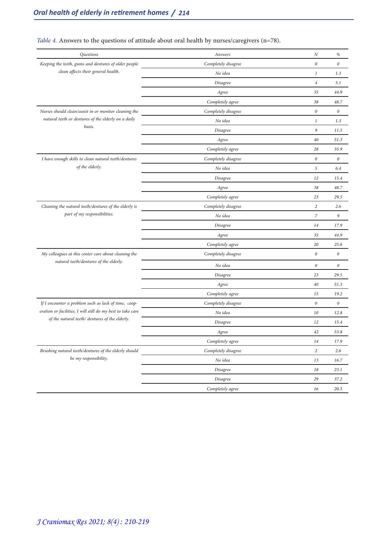| Questions                                                   | Answers             | N                | $\%$                  |
|-------------------------------------------------------------|---------------------|------------------|-----------------------|
| Keeping the teeth, gums and dentures of older people        | Completely disagree | $\theta$         | $\it{0}$              |
| clean affects their general health.                         | No idea             | $\mathbf{1}$     | 1.3                   |
|                                                             | Disagree            | $\overline{4}$   | 5.1                   |
|                                                             | Agree               | 35               | 44.9                  |
|                                                             | Completely agree    | 38               | 48.7                  |
| Nurses should clean/assist in or monitor cleaning the       | Completely disagree | $\boldsymbol{0}$ | $\boldsymbol{\theta}$ |
| natural teeth or dentures of the elderly on a daily         | No idea             | $\mathfrak{1}$   | 1.3                   |
| basis.                                                      | Disagree            | 9                | 11.5                  |
|                                                             | Agree               | 40               | 51.3                  |
|                                                             | Completely agree    | 28               | 35.9                  |
| I have enough skills to clean natural teeth/dentures        | Completely disagree | 0                | $\boldsymbol{\theta}$ |
| of the elderly.                                             | No idea             | 5                | 6.4                   |
|                                                             | Disagree            | 12               | 15.4                  |
|                                                             | Agree               | 38               | 48.7                  |
|                                                             | Completely agree    | 23               | 29.5                  |
| Cleaning the natural teeth/dentures of the elderly is       | Completely disagree | $\overline{c}$   | 2.6                   |
| part of my responsibilities.                                | No idea             | $\overline{z}$   | 9                     |
|                                                             | Disagree            | 14               | 17.9                  |
|                                                             | Agree               | 35               | 44.9                  |
|                                                             | Completely agree    | 20               | 25.6                  |
| My colleagues at this center care about cleaning the        | Completely disagree | $\boldsymbol{0}$ | $\it{0}$              |
| natural teeth/dentures of the elderly.                      | No idea             | $\theta$         | $\boldsymbol{\theta}$ |
|                                                             | Disagree            | 23               | 29.5                  |
|                                                             | Agree               | 40               | 51.3                  |
|                                                             | Completely agree    | 15               | 19.2                  |
| If I encounter a problem such as lack of time, coop-        | Completely disagree | $\boldsymbol{0}$ | $\it{0}$              |
| eration or facilities, I will still do my best to take care | No idea             | 10               | 12.8                  |
| of the natural teeth/ dentures of the elderly.              | Disagree            | 12               | 15.4                  |
|                                                             | Agree               | 42               | 53.8                  |
|                                                             | Completely agree    | 14               | 17.9                  |
| Brushing natural teeth/dentures of the elderly should       | Completely disagree | $\overline{a}$   | 2.6                   |
| be my responsibility.                                       | No idea             | 13               | 16.7                  |
|                                                             | Disagree            | 18               | 23.1                  |
|                                                             | Disagree            | 29               | 37.2                  |
|                                                             | Completely agree    | 16               | 20.5                  |

# *Table 4.* Answers to the questions of attitude about oral health by nurses/caregivers (n=78).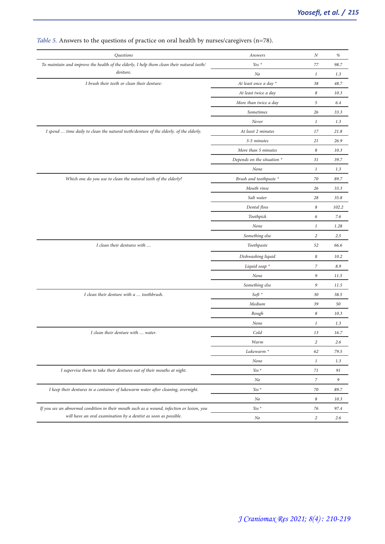| Questions                                                                                 | Answers                    | Ν                | $\%$  |
|-------------------------------------------------------------------------------------------|----------------------------|------------------|-------|
| To maintain and improve the health of the elderly, I help them clean their natural teeth/ | Yes $*$                    | 77               | 98.7  |
| denture.                                                                                  | No                         | $\mathbf{1}$     | 1.3   |
| I brush their teeth or clean their denture:                                               | At least once a day *      | 38               | 48.7  |
|                                                                                           | At least twice a day       | 8                | 10.3  |
|                                                                                           | More than twice a day      | 5                | 6.4   |
|                                                                                           | Sometimes                  | 26               | 33.3  |
|                                                                                           | Never                      | $\mathbf{1}$     | 1.3   |
| I spend  time daily to clean the natural teeth/denture of the elderly. of the elderly.    | At least 2 minutes         | 17               | 21.8  |
|                                                                                           | 3-5 minutes                | 21               | 26.9  |
|                                                                                           | More than 5 minutes        | 8                | 10.3  |
|                                                                                           | Depends on the situation * | 31               | 39.7  |
|                                                                                           | None                       | $\mathbf{1}$     | 1.3   |
| Which one do you use to clean the natural teeth of the elderly?                           | Brush and toothpaste *     | 70               | 89.7  |
|                                                                                           | Mouth rinse                | 26               | 33.3  |
|                                                                                           | Salt water                 | 28               | 35.8  |
|                                                                                           | Dental floss               | 8                | 102.2 |
|                                                                                           | Toothpick                  | 6                | 7.6   |
|                                                                                           | None                       | $\mathbf{1}$     | 1.28  |
|                                                                                           | Something else             | $\sqrt{2}$       | 2.5   |
| I clean their dentures with                                                               | Toothpaste                 | 52               | 66.6  |
|                                                                                           | Dishwashing liquid         | 8                | 10.2  |
|                                                                                           | Liquid soap *              | 7                | 8.9   |
|                                                                                           | None                       | 9                | 11.5  |
|                                                                                           | Something else             | 9                | 11.5  |
| I clean their denture with a  toothbrush.                                                 | $Soft *$                   | 30               | 38.5  |
|                                                                                           | Medium                     | 39               | 50    |
|                                                                                           | Rough                      | 8                | 10.3  |
|                                                                                           | None                       | $\mathbf{1}$     | 1.3   |
| I clean their denture with  water.                                                        | Cold                       | 13               | 16.7  |
|                                                                                           | Warm                       | $\overline{c}$   | 2.6   |
|                                                                                           | Lukewarm <sup>*</sup>      | 62               | 79.5  |
|                                                                                           | None                       | $\mathbf{1}$     | 1.3   |
| I supervise them to take their dentures out of their mouths at night.                     | Yes $^\star$               | 71               | 91    |
|                                                                                           | No                         | $\boldsymbol{7}$ | 9     |
| I keep their dentures in a container of lukewarm water after cleaning, overnight.         | Yes *                      | 70               | 89.7  |
|                                                                                           | No                         | 8                | 10.3  |
| If you see an abnormal condition in their mouth such as a wound, infection or lesion, you | Yes $^\star$               | 76               | 97.4  |
| will have an oral examination by a dentist as soon as possible.                           | No                         | $\overline{c}$   | 2.6   |
|                                                                                           |                            |                  |       |

# *Table 5.* Answers to the questions of practice on oral health by nurses/caregivers (n=78).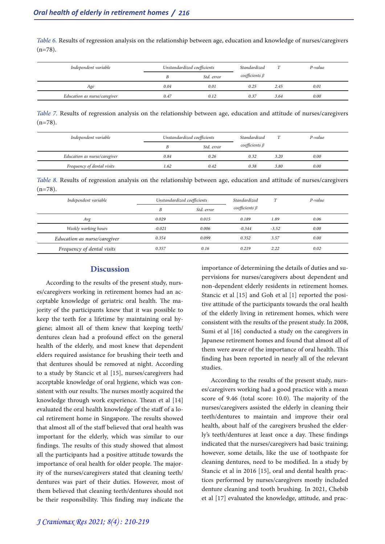*Table 6.* Results of regression analysis on the relationship between age, education and knowledge of nurses/caregivers  $(n=78)$ .

| Independent variable         | Unstandardized coefficients |            | Standardized         | m    | P-value |
|------------------------------|-----------------------------|------------|----------------------|------|---------|
|                              |                             | Std. error | coefficients $\beta$ |      |         |
| Age                          | 0.04                        | 0.01       | 0.25                 | 2.45 | 0.01    |
| Education as nurse/caregiver | 0.47                        | 0.12       | 0.37                 | 3.64 | 0.00    |

*Table 7.* Results of regression analysis on the relationship between age, education and attitude of nurses/caregivers  $(n=78)$ .

| Independent variable         | Unstandardized coefficients |            | Standardized<br>T    |      | P-value |
|------------------------------|-----------------------------|------------|----------------------|------|---------|
|                              |                             | Std. error | coefficients $\beta$ |      |         |
| Education as nurse/caregiver | 0.84                        | 0.26       | 0.32                 | 3.20 | 0.00    |
| Frequency of dental visits   | 1.62                        | 0.42       | 0.38                 | 3.80 | 0.00    |

*Table 8.* Results of regression analysis on the relationship between age, education and attitude of nurses/caregivers  $(n=78)$ .

| Independent variable         | Unstandardized coefficients |            | Standardized         | T       | $P-value$ |
|------------------------------|-----------------------------|------------|----------------------|---------|-----------|
|                              | B                           | Std. error | coefficients $\beta$ |         |           |
| Avg                          | 0.029                       | 0.015      | 0.189                | 1.89    | 0.06      |
| Weekly working hours         | $-0.021$                    | 0.006      | $-0.344$             | $-3.52$ | 0.00      |
| Education as nurse/caregiver | 0.354                       | 0.099      | 0.352                | 3.57    | 0.00      |
| Frequency of dental visits   | 0.357                       | 0.16       | 0.219                | 2.22    | 0.02      |

#### **Discussion**

According to the results of the present study, nurs-<br>es/caregivers working in retirement homes had an ac-<br>ceptable knowledge of geriatric oral health. The ma-<br>jority of the participants knew that it was possible to keep the teeth for a lifetime by maintaining oral hy- giene; almost all of them knew that keeping teeth/ dentures clean had a profound effect on the general health of the elderly, and most knew that dependent elders required assistance for brushing their teeth and that dentures should be removed at night. According to a study by Stancic et al [15], nurses/caregivers had acceptable knowledge of oral hygiene, which was consistent with our results. The nurses mostly acquired the knowledge through work experience. Thean et al [14] evaluated the oral health knowledge of the staff of a local retirement home in Singapore. The results showed that almost all of the staff believed that oral health was important for the elderly, which was similar to our findings. The results of this study showed that almost all the participants had a positive attitude towards the importance of oral health for older people. The major- ity of the nurses/caregivers stated that cleaning teeth/ dentures was part of their duties. However, most of them believed that cleaning teeth/dentures should not be their responsibility. This finding may indicate the

importance of determining the details of duties and supervisions for nurses/caregivers about dependent and non-dependent elderly residents in retirement homes. Stancic et al [15] and Goh et al [1] reported the positive attitude of the participants towards the oral health of the elderly living in retirement homes, which were consistent with the results of the present study. In 2008, Sumi et al [16] conducted a study on the caregivers in Japanese retirement homes and found that almost all of them were aware of the importance of oral health. This finding has been reported in nearly all of the relevant studies.

According to the results of the present study, nurs-<br>es/caregivers working had a good practice with a mean score of 9.46 (total score: 10.0). The majority of the nurses/caregivers assisted the elderly in cleaning their teeth/dentures to maintain and improve their oral health, about half of the caregivers brushed the elder-<br>ly's teeth/dentures at least once a day. These findings indicated that the nurses/caregivers had basic training; however, some details, like the use of toothpaste for cleaning dentures, need to be modified. In a study by Stancic et al in 2016 [15], oral and dental health practices performed by nurses/caregivers mostly included denture cleaning and tooth brushing. In 2021, Chebib et al [17] evaluated the knowledge, attitude, and prac-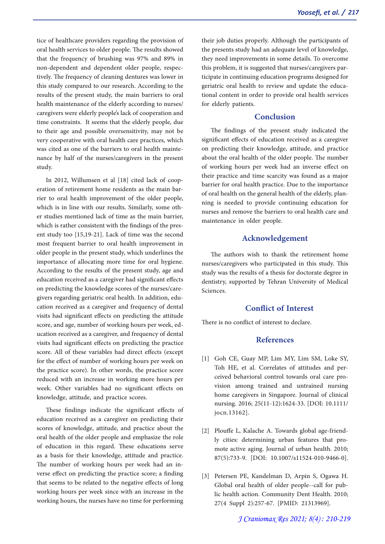tice of healthcare providers regarding the provision of oral health services to older people. The results showed that the frequency of brushing was 97% and 89% in tively. The frequency of cleaning dentures was lower in this study compared to our research. According to the results of the present study, the main barriers to oral health maintenance of the elderly according to nurses/ caregivers were elderly people's lack of cooperation and time constraints. It seems that the elderly people, due to their age and possible oversensitivity, may not be very cooperative with oral health care practices, which was cited as one of the barriers to oral health mainte- nance by half of the nurses/caregivers in the present study.

In 2012, Willumsen et al [18] cited lack of cooperation of retirement home residents as the main barrier to oral health improvement of the older people, which is in line with our results. Similarly, some other studies mentioned lack of time as the main barrier, which is rather consistent with the findings of the present study too [15,19-21]. Lack of time was the second most frequent barrier to oral health improvement in older people in the present study, which underlines the importance of allocating more time for oral hygiene. According to the results of the present study, age and education received as a caregiver had significant effects on predicting the knowledge scores of the nurses/caregivers regarding geriatric oral health. In addition, education received as a caregiver and frequency of dental visits had significant effects on predicting the attitude score, and age, number of working hours per week, education received as a caregiver, and frequency of dental visits had significant effects on predicting the practice score. All of these variables had direct effects (except for the effect of number of working hours per week on the practice score). In other words, the practice score reduced with an increase in working more hours per week. Other variables had no significant effects on knowledge, attitude, and practice scores.

These findings indicate the significant effects of education received as a caregiver on predicting their scores of knowledge, attitude, and practice about the oral health of the older people and emphasize the role of education in this regard. These educations serve as a basis for their knowledge, attitude and practice. The number of working hours per week had an inverse effect on predicting the practice score; a finding that seems to be related to the negative effects of long working hours per week since with an increase in the working hours, the nurses have no time for performing

their job duties properly. Although the participants of the presents study had an adequate level of knowledge, they need improvements in some details. To overcome this problem, it is suggested that nurses/caregivers participate in continuing education programs designed for geriatric oral health to review and update the educational content in order to provide oral health services for elderly patients.

# **Conclusion**

The findings of the present study indicated the significant effects of education received as a caregiver on predicting their knowledge, attitude, and practice about the oral health of the older people. The number of working hours per week had an inverse effect on their practice and time scarcity was found as a major barrier for oral health practice. Due to the importance of oral health on the general health of the elderly, planning is needed to provide continuing education for nurses and remove the barriers to oral health care and maintenance in older people.

## **Acknowledgement**

The authors wish to thank the retirement home nurses/caregivers who participated in this study. This study was the results of a thesis for doctorate degree in dentistry, supported by Tehran University of Medical Sciences.

## **Conflict of Interest**

There is no conflict of interest to declare.

### **References**

- [1] Goh CE, Guay MP, Lim MY, Lim SM, Loke SY, Toh HE, et al. Correlates of attitudes and per- ceived behavioral control towards oral care pro- vision among trained and untrained nursing home caregivers in Singapore. Journal of clinical nursing. 2016; 25(11-12):1624-33. [DOI: 10.1111/ jocn.13162].
- [2] Plouffe L, Kalache A. Towards global age-friendly cities: determining urban features that promote active aging. Journal of urban health. 2010; 87(5):733-9. [DOI: 10.1007/s11524-010-9466-0].
- [3] Petersen PE, Kandelman D, Arpin S, Ogawa H. Global oral health of older people--call for public health action. Community Dent Health. 2010; 27(4 Suppl 2):257-67. [PMID: 21313969].

*J Craniomax Res 2021; 8(4) : 210-219*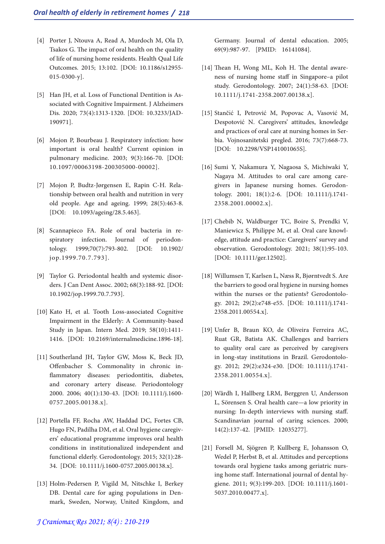- [4] Porter J, Ntouva A, Read A, Murdoch M, Ola D, Tsakos G. The impact of oral health on the quality of life of nursing home residents. Health Qual Life Outcomes. 2015; 13:102. [DOI: 10.1186/s12955- 015-0300-y].
- [5] Han JH, et al. Loss of Functional Dentition is As- sociated with Cognitive Impairment. J Alzheimers Dis. 2020; 73(4):1313-1320. [DOI: 10.3233/JAD-190971].
- [6] Mojon P, Bourbeau J. Respiratory infection: how important is oral health? Current opinion in pulmonary medicine. 2003; 9(3):166-70. [DOI: 10.1097/00063198-200305000-00002].
- [7] Mojon P, Budtz-Jørgensen E, Rapin C-H. Rela- tionship between oral health and nutrition in very old people. Age and ageing. 1999; 28(5):463-8. [DOI: 10.1093/ageing/28.5.463].
- [8] Scannapieco FA. Role of oral bacteria in respiratory infection. Journal of periodontology. 1999;70(7):793-802. [DOI: 10.1902/ jop.1999.70.7.793].
- [9] Taylor G. Periodontal health and systemic disorders. J Can Dent Assoc. 2002; 68(3):188-92. [DOI: 10.1902/jop.1999.70.7.793].
- [10] Kato H, et al. Tooth Loss-associated Cognitive Impairment in the Elderly: A Community-based Study in Japan. Intern Med. 2019; 58(10):1411- 1416. [DOI: 10.2169/internalmedicine.1896-18].
- [11] Southerland JH, Taylor GW, Moss K, Beck JD, Offenbacher S. Commonality in chronic inflammatory diseases: periodontitis, diabetes, and coronary artery disease. Periodontology 2000. 2006; 40(1):130-43. [DOI: 10.1111/j.1600- 0757.2005.00138.x].
- [12] Portella FF, Rocha AW, Haddad DC, Fortes CB, Hugo FN, Padilha DM, et al. Oral hygiene caregiv- ers' educational programme improves oral health conditions in institutionalized independent and functional elderly. Gerodontology. 2015; 32(1):28- 34. [DOI: 10.1111/j.1600-0757.2005.00138.x].
- [13] Holm‐Pedersen P, Vigild M, Nitschke I, Berkey DB. Dental care for aging populations in Den-<br>mark, Sweden, Norway, United Kingdom, and

Germany. Journal of dental education. 2005; 69(9):987-97. [PMID: 16141084].

- [14] Thean H, Wong ML, Koh H. The dental aware- ness of nursing home staff in Singapore–a pilot study. Gerodontology. 2007; 24(1):58-63. [DOI: 10.1111/j.1741-2358.2007.00138.x].
- [15] Stančić I, Petrović M, Popovac A, Vasović M, Despotović N. Caregivers' attitudes, knowledge bia. Vojnosanitetski pregled. 2016; 73(7):668-73. [DOI: 10.2298/VSP141001065S].
- [16] Sumi Y, Nakamura Y, Nagaosa S, Michiwaki Y, Nagaya M. Attitudes to oral care among care-<br>givers in Japanese nursing homes. Gerodon-<br>tology. 2001; 18(1):2-6. [DOI: 10.1111/j.1741-2358.2001.00002.x].
- [17] Chebib N, Waldburger TC, Boire S, Prendki V, Maniewicz S, Philippe M, et al. Oral care knowledge, attitude and practice: Caregivers' survey and observation. Gerodontology. 2021; 38(1):95-103. [DOI: 10.1111/ger.12502].
- [18] Willumsen T, Karlsen L, Næss R, Bjørntvedt S. Are the barriers to good oral hygiene in nursing homes within the nurses or the patients? Gerodontology. 2012; 29(2):e748-e55. [DOI: 10.1111/j.1741- 2358.2011.00554.x].
- [19] Unfer B, Braun KO, de Oliveira Ferreira AC, Ruat GR, Batista AK. Challenges and barriers to quality oral care as perceived by caregivers in long‐stay institutions in Brazil. Gerodontology. 2012; 29(2):e324-e30. [DOI: 10.1111/j.1741- 2358.2011.00554.x].
- [20] Wårdh I, Hallberg LRM, Berggren U, Andersson L, Sörensen S. Oral health care—a low priority in nursing: In‐depth interviews with nursing staff. Scandinavian journal of caring sciences. 2000; 14(2):137-42. [PMID: 12035277].
- [21] Forsell M, Sjögren P, Kullberg E, Johansson O, Wedel P, Herbst B, et al. Attitudes and perceptions towards oral hygiene tasks among geriatric nursing home staff. International journal of dental hygiene. 2011; 9(3):199-203. [DOI: 10.1111/j.1601- 5037.2010.00477.x].